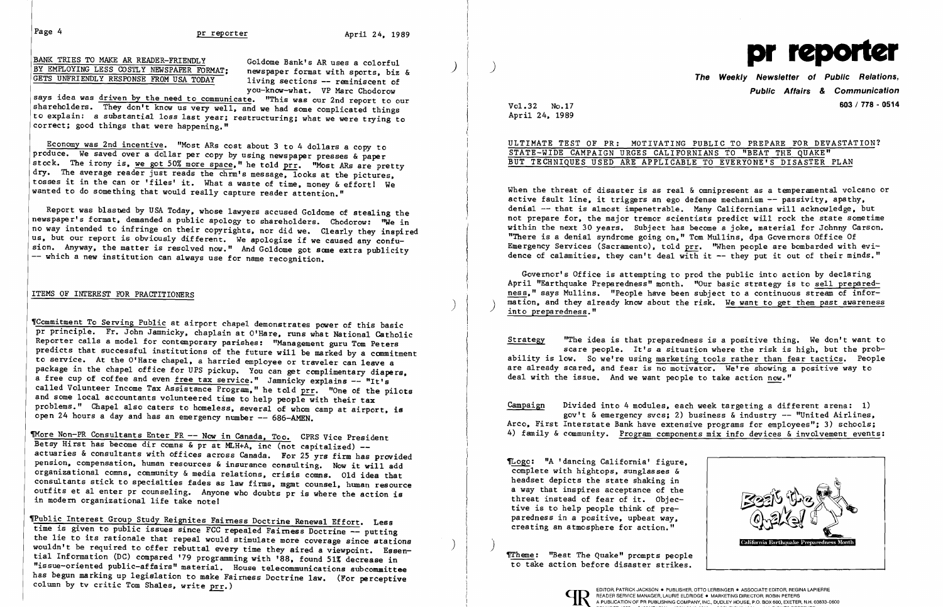BANK TRIES TO MAKE AR READER-FRIENDLY Goldome Bank's AR uses a colorful primary of the Bank's AR uses a colorful primary of the Bank's AR uses a colorful primary of the Bank's AR uses a colorful primary of the Bank's AR us BY EMPLOYING LESS COSTLY NEWSPAPER FORMAT; newspaper format with sports, biz &  $\overline{y}$  , and the Weekly Newsletter of Public Relations, it is not a reminiscent of the Weekly Newsletter of Public Relations,

says idea was driven by the need to communicate. "This was our 2nd report to our shareholders. They don't know us very well, and we had some complicated things to explain: a substantial loss last year; restructuring; what we were trying to correct; good things that were happening."

you-know-what. VP Marc Chodorow

Report was b1asbed by USA Today. whose lawyers accused Go1dome of stealing the newspaper's format, demanded a public apology to shareholders. Chodorow: "We in no way intended to infringe on their copyrights, nor did we. Clearly they inspired us. but our report is obviously different. We apologize if we caused any confusion. Anyway, the matter is resolved now." And Goldome got some extra publicity -- which a new institution can always use for name recognition.

'Commitment To Serving Public at airport chapel demonstrates power of this basic pr principle. Fr. John Jamnicky, chaplain at O'Hare, runs what National Catholic Reporter calls a model for contemporary parishes: "Management guru Tom Peters predicts that successful institutions of the future will be marked by a commitment to service. At the O'Hare chapel, a harried employee or traveler can leave a package in the chapel office for UPS pickup. You can get complimentary diapers. a free cup of coffee and even free tax service." Jamnicky explains -- "It's called Volunteer Income Tax Assistance Program," he told prr. "One of the pilots and some local accountants volunteered time to help people with their tax problems." Chapel also caters to homeless, several of whom camp at airport, is open 24 hours a day and has an emergency number -- 686-AMEN.

Economy was 2nd incentive. "Most ARs cost about 3 to 4 dollars a copy to produce. We saved over a dollar per copy by using newspaper presses & paper stock. The irony is, we got 50% more space," he told  $\text{prr}$ . "Most ARs are pretty dry. The average reader just reads the chrm's message, looks at the pictures, ľ tosses it in the can or 'files' it. What a waste of time, money & effort! We wanted to do something that would really capture reader attention." wanted to do something that would really capture reader attention."

TMore Non-PR Consultants Enter PR -- Now in Canada, Too. CPRS Vice President Betsy Hirst has become dir comns & pr at MLH+A, inc (not capitalized) -actuaries & consultants with offices across Canada. For 25 yrs firm has provided pension. compensation, human resources & insurance consulting. Now it will add organizational comns, community & media relations, crisis comns. Old idea that consultants stick to specialties fades as law firms, mgmt counsel, human resource outfits et a1 enter pr counseling. Anyone who doubts pr is where the action is in modern organizational life take note!

'Public Interest Group Study Reignites Fairness Doctrine Renewal Effort. Less time is given to public issues since FCC repealed Fairness Doctrine -- putting the lie to its rationale that repeal would stimulate more coverage since stations end the collect is factoriate that repeat would stimulate more coverage since stations (a) tial Information (DC) compared '79 programming with '88, found 51% decrease in Ï "issue-oriented public-affairs" material. House telecommunications subcommittee has begun marking up legislation to make Fairness Doctrine law. (For perceptive column by tv critic Tom Shales, write prr.)

## ITEMS OF INTEREST FOR PRACTITIONERS

)

Governor's Office is attempting to prod the public into action by declaring April "Earthquake Preparedness" month. "Our basic strategy is to sell prepared ness." says Mullins. "People have been subject to a continuous stream of information, and they already know about the risk. We want to get them past awareness into preparedness."

Public Affairs & Communication Vol. 32 No.17 603/ 778· 0514

April 24, 1989

ULTIMATE TEST OF PR: MOTIVATING PUBLIC TO PREPARE FOR DEVASTATION? STATE-WIDE CAMPAIGN URGES CALIFORNIANS TO "BEAT THE QUAKE" BUT TECHNIQUES USED ARE APPLICABLE TO EVERYONE'S DISASTER PLAN

When the threat of disaster is as real  $\&$  omnipresent as a temperamental volcano or active fault line, it triggers an ego defense mechanism -- passivity, apathy, denial -- that is almost impenetrable. Many Californians will acknowledge, but not prepare for, the major tremor scientists predict will rock the state sometime within the next 30 years. Subject has become a joke, material for Johnny Carson. "There is a denial syndrome going on," Tom Mullins, dpa Governors Office Of Emergency Services (Sacramento), told prr. "When people are bombarded with evidence of calamities, they can't deal with it  $-$  they put it out of their minds."

Strategy "The idea is that preparedness is a positive thing. We don't want to scare people. It's a situation where the risk is high, but the probability is low. So we're using marketing tools rather than fear tactics. People are already scared, and fear is no motivator. We're showing a positive way to deal with the issue. And we want people to take action now."

Campaign Divided into 4 modules, each week targeting a different arena: 1) gov't & emergency svcs; 2) business & industry  $-$  "United Airlines, Arco, First Interstate Bank have extensive programs for employees"; 3) schools; 4) family & community. Program components mix info devices &involvement events:

~ogo: "A' dancing California' figure, complete with hightops, sunglasses & headset depicts the state shaking in a way that inspires acceptance of the threat instead of fear of it. Objective is to help people think of preparedness in a positive, upbeat way, creating an atmosphere for action."

)

~heme: ''Beat The Quake" prompts people to take action before disaster strikes.





EDITOR, PATRICK JACKSON ● PUBLISHER, OTTO LERBINGER ● ASSOCIATE EDITOR, REGINA LAPIERRE<br>READER SERVICE MANAGER, LAURIE ELDRIDGE ● MARKETING DIRECTOR, ROBIN PETERS A PUBLICATION OF PR PUBLISHING COMPANY, INC., DUDLEY HOUSE, P.O. BOX 600, EXETER, N.H. 03833-0600